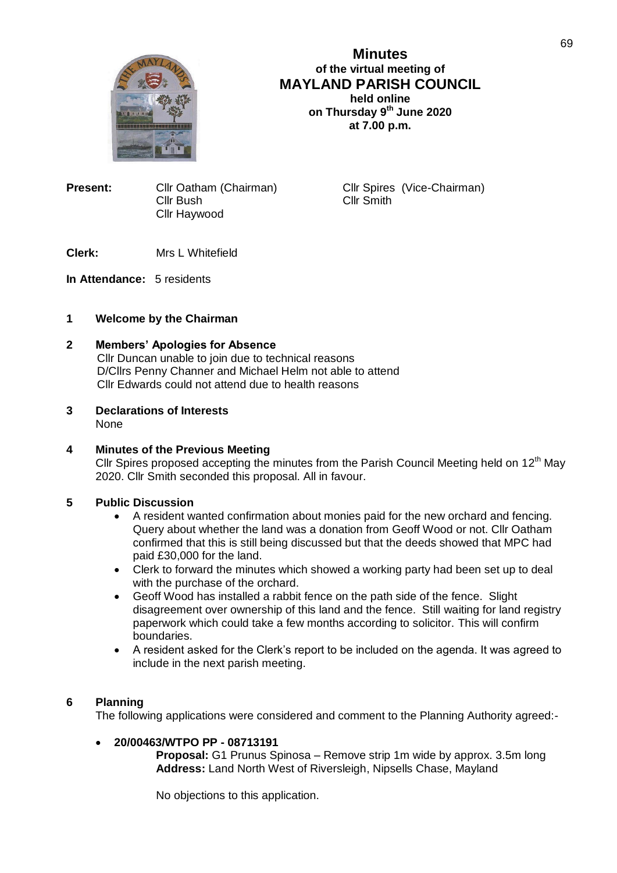

**Minutes of the virtual meeting of MAYLAND PARISH COUNCIL held online on Thursday 9 th June 2020 at 7.00 p.m.**

**Present:** Cllr Oatham (Chairman) Cllr Spires (Vice-Chairman) Cllr Smith Cllr Bush Cllr Haywood

**Clerk:** Mrs L Whitefield

**In Attendance:** 5 residents

# **1 Welcome by the Chairman**

### **2 Members' Apologies for Absence**

 Cllr Duncan unable to join due to technical reasons D/Cllrs Penny Channer and Michael Helm not able to attend Cllr Edwards could not attend due to health reasons

**3 Declarations of Interests** None

# **4 Minutes of the Previous Meeting**

Cllr Spires proposed accepting the minutes from the Parish Council Meeting held on 12<sup>th</sup> May 2020. Cllr Smith seconded this proposal. All in favour.

### **5 Public Discussion**

- A resident wanted confirmation about monies paid for the new orchard and fencing. Query about whether the land was a donation from Geoff Wood or not. Cllr Oatham confirmed that this is still being discussed but that the deeds showed that MPC had paid £30,000 for the land.
- Clerk to forward the minutes which showed a working party had been set up to deal with the purchase of the orchard.
- Geoff Wood has installed a rabbit fence on the path side of the fence. Slight disagreement over ownership of this land and the fence. Still waiting for land registry paperwork which could take a few months according to solicitor. This will confirm boundaries.
- A resident asked for the Clerk's report to be included on the agenda. It was agreed to include in the next parish meeting.

# **6 Planning**

The following applications were considered and comment to the Planning Authority agreed:-

## **20/00463/WTPO PP - 08713191**

**Proposal:** G1 Prunus Spinosa – Remove strip 1m wide by approx. 3.5m long **Address:** Land North West of Riversleigh, Nipsells Chase, Mayland

No objections to this application.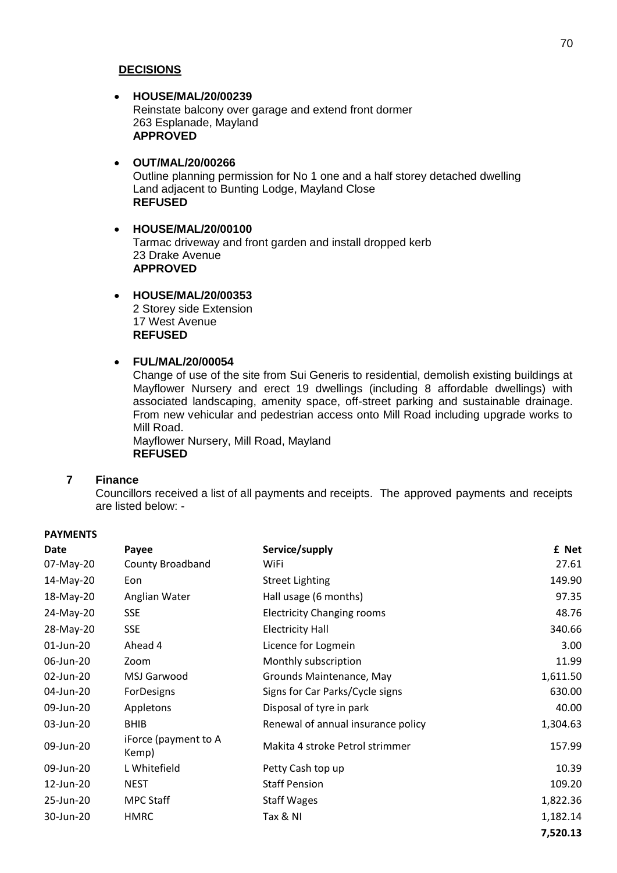## **DECISIONS**

# **HOUSE/MAL/20/00239** Reinstate balcony over garage and extend front dormer 263 Esplanade, Mayland **APPROVED**

## **OUT/MAL/20/00266** Outline planning permission for No 1 one and a half storey detached dwelling Land adjacent to Bunting Lodge, Mayland Close **REFUSED**

### **HOUSE/MAL/20/00100** Tarmac driveway and front garden and install dropped kerb 23 Drake Avenue **APPROVED**

# **HOUSE/MAL/20/00353**

2 Storey side Extension 17 West Avenue **REFUSED**

# **FUL/MAL/20/00054**

Change of use of the site from Sui Generis to residential, demolish existing buildings at Mayflower Nursery and erect 19 dwellings (including 8 affordable dwellings) with associated landscaping, amenity space, off-street parking and sustainable drainage. From new vehicular and pedestrian access onto Mill Road including upgrade works to Mill Road.

Mayflower Nursery, Mill Road, Mayland **REFUSED**

### **7 Finance**

**PAVMENTS** 

Councillors received a list of all payments and receipts. The approved payments and receipts are listed below: -

| <b>FAINLND</b> |                               |                                    |          |
|----------------|-------------------------------|------------------------------------|----------|
| Date           | Payee                         | Service/supply                     | £ Net    |
| 07-May-20      | <b>County Broadband</b>       | WiFi                               | 27.61    |
| 14-May-20      | Eon                           | <b>Street Lighting</b>             | 149.90   |
| 18-May-20      | Anglian Water                 | Hall usage (6 months)              | 97.35    |
| 24-May-20      | <b>SSE</b>                    | <b>Electricity Changing rooms</b>  | 48.76    |
| 28-May-20      | <b>SSE</b>                    | <b>Electricity Hall</b>            | 340.66   |
| 01-Jun-20      | Ahead 4                       | Licence for Logmein                | 3.00     |
| 06-Jun-20      | Zoom                          | Monthly subscription               | 11.99    |
| 02-Jun-20      | MSJ Garwood                   | Grounds Maintenance, May           | 1,611.50 |
| 04-Jun-20      | ForDesigns                    | Signs for Car Parks/Cycle signs    | 630.00   |
| 09-Jun-20      | Appletons                     | Disposal of tyre in park           | 40.00    |
| 03-Jun-20      | <b>BHIB</b>                   | Renewal of annual insurance policy | 1,304.63 |
| 09-Jun-20      | iForce (payment to A<br>Kemp) | Makita 4 stroke Petrol strimmer    | 157.99   |
| 09-Jun-20      | L Whitefield                  | Petty Cash top up                  | 10.39    |
| 12-Jun-20      | NEST                          | <b>Staff Pension</b>               | 109.20   |
| 25-Jun-20      | <b>MPC Staff</b>              | <b>Staff Wages</b>                 | 1,822.36 |
| 30-Jun-20      | HMRC                          | Tax & NI                           | 1,182.14 |
|                |                               |                                    | 7,520.13 |